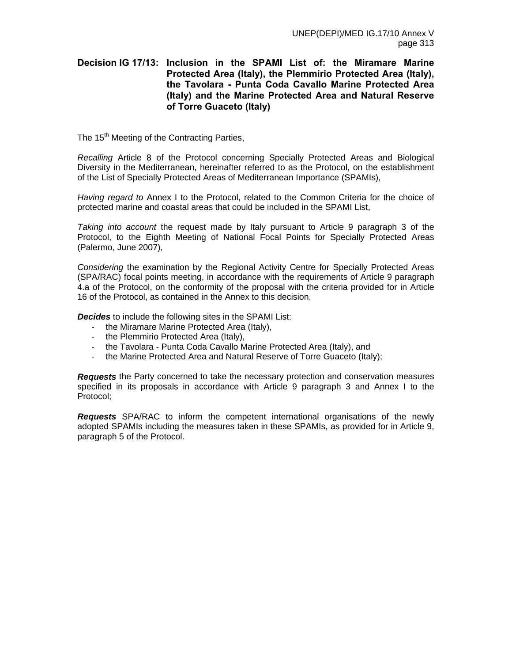# **Decision IG 17/13: Inclusion in the SPAMI List of: the Miramare Marine Protected Area (Italy), the Plemmirio Protected Area (Italy), the Tavolara - Punta Coda Cavallo Marine Protected Area (Italy) and the Marine Protected Area and Natural Reserve of Torre Guaceto (Italy)**

The 15<sup>th</sup> Meeting of the Contracting Parties.

*Recalling* Article 8 of the Protocol concerning Specially Protected Areas and Biological Diversity in the Mediterranean, hereinafter referred to as the Protocol, on the establishment of the List of Specially Protected Areas of Mediterranean Importance (SPAMIs),

*Having regard to* Annex I to the Protocol, related to the Common Criteria for the choice of protected marine and coastal areas that could be included in the SPAMI List,

*Taking into account* the request made by Italy pursuant to Article 9 paragraph 3 of the Protocol, to the Eighth Meeting of National Focal Points for Specially Protected Areas (Palermo, June 2007),

*Considering* the examination by the Regional Activity Centre for Specially Protected Areas (SPA/RAC) focal points meeting, in accordance with the requirements of Article 9 paragraph 4.a of the Protocol, on the conformity of the proposal with the criteria provided for in Article 16 of the Protocol, as contained in the Annex to this decision,

*Decides* to include the following sites in the SPAMI List:

- the Miramare Marine Protected Area (Italy),
- the Plemmirio Protected Area (Italy),
- the Tavolara Punta Coda Cavallo Marine Protected Area (Italy), and
- the Marine Protected Area and Natural Reserve of Torre Guaceto (Italy);

*Requests* the Party concerned to take the necessary protection and conservation measures specified in its proposals in accordance with Article 9 paragraph 3 and Annex I to the Protocol;

*Requests* SPA/RAC to inform the competent international organisations of the newly adopted SPAMIs including the measures taken in these SPAMIs, as provided for in Article 9, paragraph 5 of the Protocol.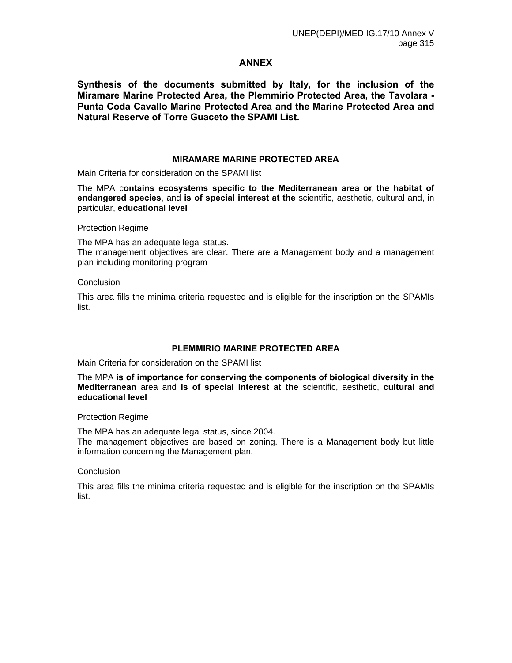# **ANNEX**

**Synthesis of the documents submitted by Italy, for the inclusion of the Miramare Marine Protected Area, the Plemmirio Protected Area, the Tavolara - Punta Coda Cavallo Marine Protected Area and the Marine Protected Area and Natural Reserve of Torre Guaceto the SPAMI List.** 

### **MIRAMARE MARINE PROTECTED AREA**

Main Criteria for consideration on the SPAMI list

The MPA c**ontains ecosystems specific to the Mediterranean area or the habitat of endangered species**, and **is of special interest at the** scientific, aesthetic, cultural and, in particular, **educational level** 

Protection Regime

The MPA has an adequate legal status. The management objectives are clear. There are a Management body and a management plan including monitoring program

#### **Conclusion**

This area fills the minima criteria requested and is eligible for the inscription on the SPAMIs list.

### **PLEMMIRIO MARINE PROTECTED AREA**

Main Criteria for consideration on the SPAMI list

The MPA **is of importance for conserving the components of biological diversity in the Mediterranean** area and **is of special interest at the** scientific, aesthetic, **cultural and educational level** 

### Protection Regime

The MPA has an adequate legal status, since 2004.

The management objectives are based on zoning. There is a Management body but little information concerning the Management plan.

### **Conclusion**

This area fills the minima criteria requested and is eligible for the inscription on the SPAMIs list.